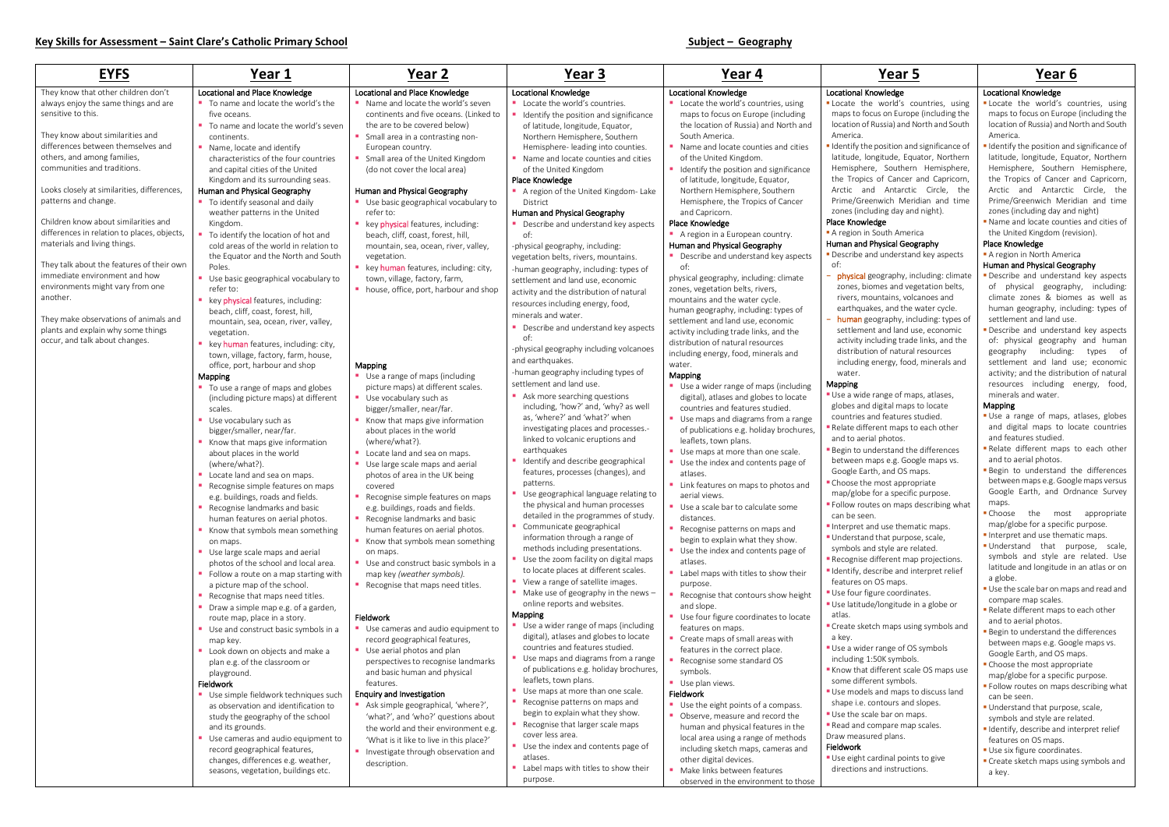- d features studied.
- ent maps to each other I photos.
- derstand the differences aps e.g. Google maps vs. n, and OS maps.
- most appropriate
- $\overline{\rm G}$ or a specific purpose.
- es on maps describing what

- that purpose, scale,
- style are related.
- ifferent map projections. cribe and interpret relief
- OS maps.
- ure coordinates.
- /longitude in a globe or

- range of OS symbols 50K symbols.
- ifferent scale OS maps use ent symbols.
- and maps to discuss land
- ntours and slopes.
- e bar on maps. mpare map scales.
- ed plans.

| <b>EYFS</b>                                                | Year 1                                                                       | Year 2                                                       | Year 3                                                                         | Year 4                                                                       | Year 5                                                                                     | Year 6                                                 |
|------------------------------------------------------------|------------------------------------------------------------------------------|--------------------------------------------------------------|--------------------------------------------------------------------------------|------------------------------------------------------------------------------|--------------------------------------------------------------------------------------------|--------------------------------------------------------|
| They know that other children don't                        | Locational and Place Knowledge                                               | Locational and Place Knowledge                               | <b>Locational Knowledge</b>                                                    | <b>Locational Knowledge</b>                                                  | <b>Locational Knowledge</b>                                                                | <b>Locational Knowledge</b>                            |
| always enjoy the same things and are                       | ■ To name and locate the world's the                                         | • Name and locate the world's seven                          | Locate the world's countries.                                                  | " Locate the world's countries, using                                        | " Locate the world's countries, using                                                      | " Locate the world's cou                               |
| sensitive to this.                                         | five oceans.                                                                 | continents and five oceans. (Linked to                       | Identify the position and significance                                         | maps to focus on Europe (including                                           | maps to focus on Europe (including the                                                     | maps to focus on Europe                                |
|                                                            | To name and locate the world's seven                                         | the are to be covered below)                                 | of latitude, longitude, Equator,                                               | the location of Russia) and North and                                        | location of Russia) and North and South                                                    | location of Russia) and No                             |
| They know about similarities and                           | continents.                                                                  | Small area in a contrasting non-                             | Northern Hemisphere, Southern                                                  | South America.                                                               | America.                                                                                   | America.                                               |
| differences between themselves and                         | Name, locate and identify                                                    | European country.                                            | Hemisphere- leading into counties.                                             | Name and locate counties and cities                                          | " Identify the position and significance of                                                | I Identify the position and s                          |
| others, and among families,<br>communities and traditions. | characteristics of the four countries                                        | Small area of the United Kingdom                             | • Name and locate counties and cities                                          | of the United Kingdom.                                                       | latitude, longitude, Equator, Northern<br>Hemisphere, Southern Hemisphere,                 | latitude, longitude, Equat<br>Hemisphere, Southern     |
|                                                            | and capital cities of the United<br>Kingdom and its surrounding seas.        | (do not cover the local area)                                | of the United Kingdom<br>Place Knowledge                                       | I Identify the position and significance<br>of latitude, longitude, Equator, | the Tropics of Cancer and Capricorn,                                                       | the Tropics of Cancer ar                               |
| Looks closely at similarities, differences,                | Human and Physical Geography                                                 | Human and Physical Geography                                 | A region of the United Kingdom-Lake                                            | Northern Hemisphere, Southern                                                | Arctic and Antarctic Circle, the                                                           | Arctic and Antarctic                                   |
| patterns and change.                                       | " To identify seasonal and daily                                             | ■ Use basic geographical vocabulary to                       | District                                                                       | Hemisphere, the Tropics of Cancer                                            | Prime/Greenwich Meridian and time                                                          | Prime/Greenwich Meridi                                 |
|                                                            | weather patterns in the United                                               | refer to:                                                    | Human and Physical Geography                                                   | and Capricorn.                                                               | zones (including day and night).                                                           | zones (including day and                               |
| Children know about similarities and                       | Kingdom.                                                                     | key physical features, including:                            | • Describe and understand key aspects                                          | Place Knowledge                                                              | Place Knowledge                                                                            | Name and locate counties                               |
| differences in relation to places, objects,                | To identify the location of hot and                                          | beach, cliff, coast, forest, hill,                           | of:                                                                            | A region in a European country.                                              | A region in South America                                                                  | the United Kingdom (revis                              |
| materials and living things.                               | cold areas of the world in relation to                                       | mountain, sea, ocean, river, valley,                         | -physical geography, including:                                                | Human and Physical Geography                                                 | Human and Physical Geography                                                               | Place Knowledge                                        |
| They talk about the features of their own                  | the Equator and the North and South                                          | vegetation.                                                  | vegetation belts, rivers, mountains.                                           | • Describe and understand key aspects                                        | • Describe and understand key aspects                                                      | A region in North America<br>Human and Physical Geogra |
| immediate environment and how                              | Poles.                                                                       | key human features, including: city,                         | -human geography, including: types of                                          | of:                                                                          | of:<br>- physical geography, including: climate                                            | · Describe and understand                              |
| environments might vary from one                           | Use basic geographical vocabulary to                                         | town, village, factory, farm,                                | settlement and land use, economic                                              | physical geography, including: climate                                       | zones, biomes and vegetation belts,                                                        | of physical geography                                  |
| another.                                                   | refer to:<br>key physical features, including:                               | • house, office, port, harbour and shop                      | activity and the distribution of natural                                       | zones, vegetation belts, rivers,<br>mountains and the water cycle.           | rivers, mountains, volcanoes and                                                           | climate zones & biome                                  |
|                                                            | beach, cliff, coast, forest, hill,                                           |                                                              | resources including energy, food,                                              | human geography, including: types of                                         | earthquakes, and the water cycle.                                                          | human geography, includ                                |
| They make observations of animals and                      | mountain, sea, ocean, river, valley,                                         |                                                              | minerals and water.                                                            | settlement and land use, economic                                            | - human geography, including: types of                                                     | settlement and land use.                               |
| plants and explain why some things                         | vegetation.                                                                  |                                                              | • Describe and understand key aspects                                          | activity including trade links, and the                                      | settlement and land use, economic                                                          | Describe and understand                                |
| occur, and talk about changes.                             | key human features, including: city,                                         |                                                              | of:                                                                            | distribution of natural resources                                            | activity including trade links, and the                                                    | of: physical geography                                 |
|                                                            | town, village, factory, farm, house,                                         |                                                              | -physical geography including volcanoes<br>and earthquakes.                    | including energy, food, minerals and                                         | distribution of natural resources                                                          | geography including:                                   |
|                                                            | office, port, harbour and shop                                               | Mapping                                                      | -human geography including types of                                            | water.                                                                       | including energy, food, minerals and                                                       | settlement and land us<br>activity; and the distribut  |
|                                                            | Mapping                                                                      | Use a range of maps (including                               | settlement and land use.                                                       | Mapping<br>Use a wider range of maps (including                              | water.<br><b>Mapping</b>                                                                   | resources including er                                 |
|                                                            | " To use a range of maps and globes<br>(including picture maps) at different | picture maps) at different scales.<br>Use vocabulary such as | Ask more searching questions                                                   | digital), atlases and globes to locate                                       | "Use a wide range of maps, atlases,                                                        | minerals and water.                                    |
|                                                            | scales.                                                                      | bigger/smaller, near/far.                                    | including, 'how?' and, 'why? as well                                           | countries and features studied.                                              | globes and digital maps to locate                                                          | <b>Mapping</b>                                         |
|                                                            | Use vocabulary such as                                                       | Know that maps give information                              | as, 'where?' and 'what?' when                                                  | ■ Use maps and diagrams from a range                                         | countries and features studied.                                                            | Use a range of maps, at                                |
|                                                            | bigger/smaller, near/far.                                                    | about places in the world                                    | investigating places and processes.-                                           | of publications e.g. holiday brochures,                                      | Relate different maps to each other                                                        | and digital maps to loca                               |
|                                                            | Know that maps give information                                              | (where/what?).                                               | linked to volcanic eruptions and                                               | leaflets, town plans.                                                        | and to aerial photos.                                                                      | and features studied.                                  |
|                                                            | about places in the world                                                    | Locate land and sea on maps.                                 | earthquakes                                                                    | Use maps at more than one scale.                                             | Begin to understand the differences                                                        | Relate different maps to<br>and to aerial photos.      |
|                                                            | (where/what?).                                                               | Use large scale maps and aerial                              | I Identify and describe geographical<br>features, processes (changes), and     | Use the index and contents page of                                           | between maps e.g. Google maps vs.<br>Google Earth, and OS maps.                            | Begin to understand the                                |
|                                                            | Locate land and sea on maps.                                                 | photos of area in the UK being                               | patterns.                                                                      | atlases.                                                                     | " Choose the most appropriate                                                              | between maps e.g. Google                               |
|                                                            | Recognise simple features on maps<br>e.g. buildings, roads and fields.       | covered<br>• Recognise simple features on maps               | Use geographical language relating to                                          | • Link features on maps to photos and<br>aerial views.                       | map/globe for a specific purpose.                                                          | Google Earth, and Ordr                                 |
|                                                            | Recognise landmarks and basic                                                | e.g. buildings, roads and fields.                            | the physical and human processes                                               | Use a scale bar to calculate some                                            | • Follow routes on maps describing what                                                    | maps.                                                  |
|                                                            | human features on aerial photos.                                             | Recognise landmarks and basic                                | detailed in the programmes of study.                                           | distances.                                                                   | can be seen.                                                                               | ■ Choose<br>the most                                   |
|                                                            | Know that symbols mean something                                             | human features on aerial photos.                             | Communicate geographical                                                       | Recognise patterns on maps and                                               | Interpret and use thematic maps.                                                           | map/globe for a specific p                             |
|                                                            | on maps.                                                                     | ■ Know that symbols mean something                           | information through a range of                                                 | begin to explain what they show.                                             | Understand that purpose, scale,                                                            | Interpret and use themat<br>Understand that purp       |
|                                                            | Use large scale maps and aerial                                              | on maps.                                                     | methods including presentations.                                               | Use the index and contents page of                                           | symbols and style are related.                                                             | symbols and style are                                  |
|                                                            | photos of the school and local area.                                         | Use and construct basic symbols in a                         | Use the zoom facility on digital maps<br>to locate places at different scales. | atlases.                                                                     | <b>-</b> Recognise different map projections.<br>I Identify, describe and interpret relief | latitude and longitude in                              |
|                                                            | Follow a route on a map starting with                                        | map key (weather symbols).                                   | View a range of satellite images.                                              | Label maps with titles to show their                                         | features on OS maps.                                                                       | a globe.                                               |
|                                                            | a picture map of the school.<br>Recognise that maps need titles.             | Recognise that maps need titles.                             | • Make use of geography in the news -                                          | purpose.<br>Recognise that contours show height                              | Use four figure coordinates.                                                               | Use the scale bar on maps                              |
|                                                            | Draw a simple map e.g. of a garden,                                          |                                                              | online reports and websites.                                                   | and slope.                                                                   | "Use latitude/longitude in a globe or                                                      | compare map scales.                                    |
|                                                            | route map, place in a story.                                                 | Fieldwork                                                    | <b>Mapping</b>                                                                 | Use four figure coordinates to locate                                        | atlas.                                                                                     | Relate different maps to a                             |
|                                                            | Use and construct basic symbols in a                                         | ■ Use cameras and audio equipment to                         | ■ Use a wider range of maps (including                                         | features on maps.                                                            | " Create sketch maps using symbols and                                                     | and to aerial photos.<br>Begin to understand the o     |
|                                                            | map key.                                                                     | record geographical features,                                | digital), atlases and globes to locate                                         | Create maps of small areas with                                              | a key.                                                                                     | between maps e.g. Googl                                |
|                                                            | Look down on objects and make a                                              | Use aerial photos and plan                                   | countries and features studied.                                                | features in the correct place.                                               | Use a wider range of OS symbols                                                            | Google Earth, and OS map                               |
|                                                            | plan e.g. of the classroom or                                                | perspectives to recognise landmarks                          | Use maps and diagrams from a range<br>of publications e.g. holiday brochures,  | Recognise some standard OS                                                   | including 1:50K symbols.<br>Know that different scale OS maps use                          | • Choose the most appropr                              |
|                                                            | playground.                                                                  | and basic human and physical                                 | leaflets, town plans.                                                          | symbols.<br>Use plan views.                                                  | some different symbols.                                                                    | map/globe for a specific p                             |
|                                                            | Fieldwork<br>Use simple fieldwork techniques such                            | features.<br><b>Enquiry and Investigation</b>                | Use maps at more than one scale.                                               | Fieldwork                                                                    | Use models and maps to discuss land                                                        | · Follow routes on maps de                             |
|                                                            | as observation and identification to                                         | Ask simple geographical, 'where?',                           | Recognise patterns on maps and                                                 | Use the eight points of a compass.                                           | shape i.e. contours and slopes.                                                            | can be seen.                                           |
|                                                            | study the geography of the school                                            | 'what?', and 'who?' questions about                          | begin to explain what they show.                                               | • Observe, measure and record the                                            | Use the scale bar on maps.                                                                 | Understand that purpose,<br>symbols and style are rela |
|                                                            | and its grounds.                                                             | the world and their environment e.g.                         | Recognise that larger scale maps                                               | human and physical features in the                                           | Read and compare map scales.                                                               | I Identify, describe and inte                          |
|                                                            | Use cameras and audio equipment to                                           | 'What is it like to live in this place?'                     | cover less area.                                                               | local area using a range of methods                                          | Draw measured plans.                                                                       | features on OS maps.                                   |
|                                                            | record geographical features,                                                | Investigate through observation and                          | Use the index and contents page of                                             | including sketch maps, cameras and                                           | Fieldwork                                                                                  | Use six figure coordinates                             |
|                                                            | changes, differences e.g. weather,                                           | description.                                                 | atlases.                                                                       | other digital devices.                                                       | " Use eight cardinal points to give                                                        | Create sketch maps using                               |
|                                                            | seasons, vegetation, buildings etc.                                          |                                                              | Label maps with titles to show their<br>purpose.                               | Make links between features                                                  | directions and instructions.                                                               | a key.                                                 |
|                                                            |                                                                              |                                                              |                                                                                | observed in the environment to those                                         |                                                                                            |                                                        |

## **Dwledge**

# lge

- **.** Locate the world's countries, using maps to focus on Europe (including the location of Russia) and North and South America.
- **I** Identify the position and significance of latitude, longitude, Equator, Northern Hemisphere, Southern Hemisphere, the Tropics of Cancer and Capricorn, Arctic and Antarctic Circle, the Prime/Greenwich Meridian and time zones (including day and night)
- **Name and locate counties and cities of** the United Kingdom (revision).

- **Describe and understand key aspects** of physical geography, including: climate zones & biomes as well as human geography, including: types of settlement and land use.
- Describe and understand key aspects of: physical geography and human geography including: types of settlement and land use; economic activity; and the distribution of natural resources including energy, food, minerals and water.

- **Use a range of maps, atlases, globes** and digital maps to locate countries and features studied.
- Relate different maps to each other and to aerial photos.
- **Begin to understand the differences** between maps e.g. Google maps versus Google Earth, and Ordnance Survey maps.
- **Choose** the most appropriate map/globe for a specific purpose.
- Interpret and use thematic maps.
- **Understand that purpose, scale,** symbols and style are related. Use latitude and longitude in an atlas or on a globe.
- **Use the scale bar on maps and read and** compare map scales.
- Relate different maps to each other and to aerial photos.
- **Begin to understand the differences** between maps e.g. Google maps vs. Google Earth, and OS maps.
- **Choose the most appropriate** map/globe for a specific purpose.
- **Follow routes on maps describing what** can be seen.
- **Understand that purpose, scale,** symbols and style are related.
- **I** Identify, describe and interpret relief features on OS maps.
- **Use six figure coordinates.**
- **Create sketch maps using symbols and** a key.

### Locational Knowledge

### Place Knowledge

### Human and Physical Geography

### Mapping